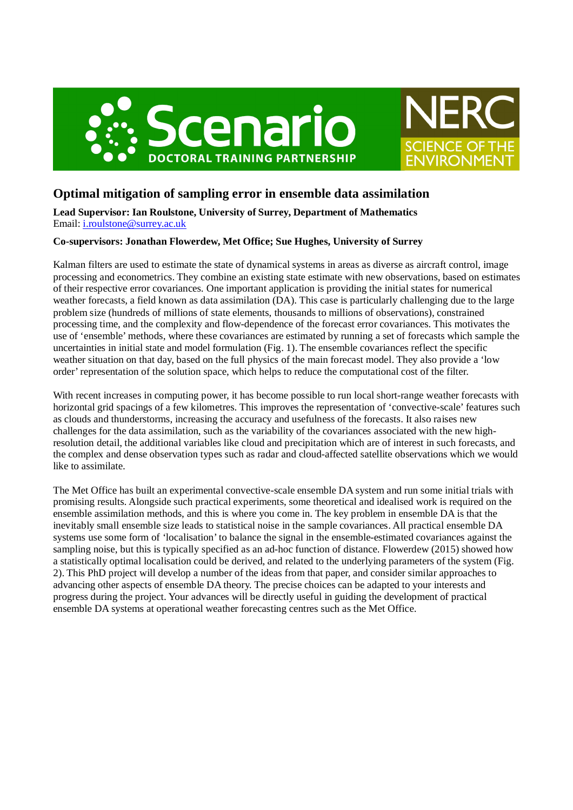

# **Optimal mitigation of sampling error in ensemble data assimilation**

**Lead Supervisor: Ian Roulstone, University of Surrey, Department of Mathematics** Email: i.roulstone@surrey.ac.uk

# **Co-supervisors: Jonathan Flowerdew, Met Office; Sue Hughes, University of Surrey**

Kalman filters are used to estimate the state of dynamical systems in areas as diverse as aircraft control, image processing and econometrics. They combine an existing state estimate with new observations, based on estimates of their respective error covariances. One important application is providing the initial states for numerical weather forecasts, a field known as data assimilation (DA). This case is particularly challenging due to the large problem size (hundreds of millions of state elements, thousands to millions of observations), constrained processing time, and the complexity and flow-dependence of the forecast error covariances. This motivates the use of 'ensemble' methods, where these covariances are estimated by running a set of forecasts which sample the uncertainties in initial state and model formulation (Fig. 1). The ensemble covariances reflect the specific weather situation on that day, based on the full physics of the main forecast model. They also provide a 'low order' representation of the solution space, which helps to reduce the computational cost of the filter.

With recent increases in computing power, it has become possible to run local short-range weather forecasts with horizontal grid spacings of a few kilometres. This improves the representation of 'convective-scale' features such as clouds and thunderstorms, increasing the accuracy and usefulness of the forecasts. It also raises new challenges for the data assimilation, such as the variability of the covariances associated with the new highresolution detail, the additional variables like cloud and precipitation which are of interest in such forecasts, and the complex and dense observation types such as radar and cloud-affected satellite observations which we would like to assimilate.

The Met Office has built an experimental convective-scale ensemble DA system and run some initial trials with promising results. Alongside such practical experiments, some theoretical and idealised work is required on the ensemble assimilation methods, and this is where you come in. The key problem in ensemble DA is that the inevitably small ensemble size leads to statistical noise in the sample covariances. All practical ensemble DA systems use some form of 'localisation' to balance the signal in the ensemble-estimated covariances against the sampling noise, but this is typically specified as an ad-hoc function of distance. Flowerdew (2015) showed how a statistically optimal localisation could be derived, and related to the underlying parameters of the system (Fig. 2). This PhD project will develop a number of the ideas from that paper, and consider similar approaches to advancing other aspects of ensemble DA theory. The precise choices can be adapted to your interests and progress during the project. Your advances will be directly useful in guiding the development of practical ensemble DA systems at operational weather forecasting centres such as the Met Office.